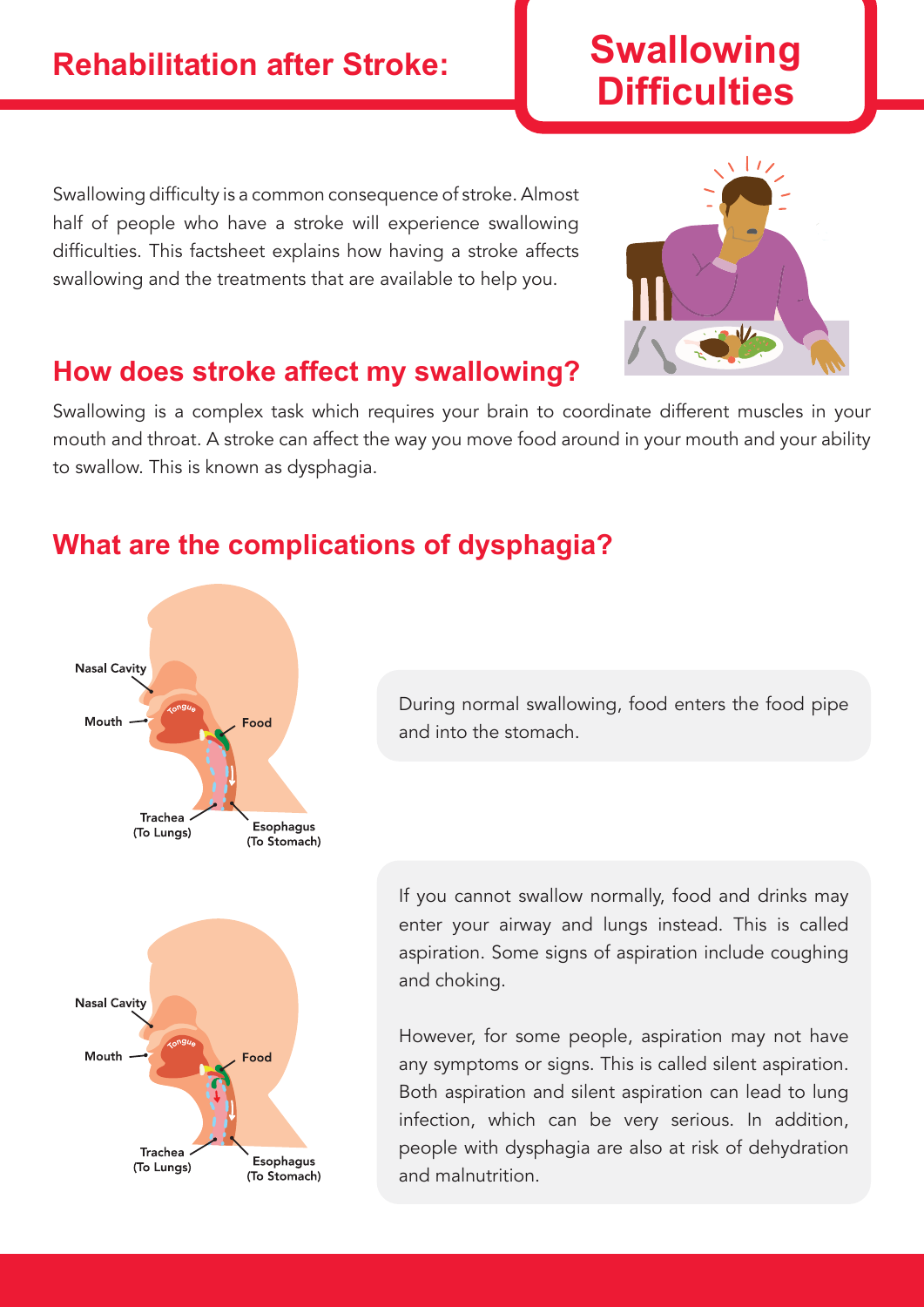# **Swallowing Difficulties**

Swallowing difficulty is a common consequence of stroke. Almost half of people who have a stroke will experience swallowing difficulties. This factsheet explains how having a stroke affects swallowing and the treatments that are available to help you.



# **How does stroke affect my swallowing?**

Swallowing is a complex task which requires your brain to coordinate different muscles in your mouth and throat. A stroke can affect the way you move food around in your mouth and your ability to swallow. This is known as dysphagia.

# **What are the complications of dysphagia?**



During normal swallowing, food enters the food pipe and into the stomach.

If you cannot swallow normally, food and drinks may enter your airway and lungs instead. This is called aspiration. Some signs of aspiration include coughing and choking.

However, for some people, aspiration may not have any symptoms or signs. This is called silent aspiration. Both aspiration and silent aspiration can lead to lung infection, which can be very serious. In addition, people with dysphagia are also at risk of dehydration and malnutrition.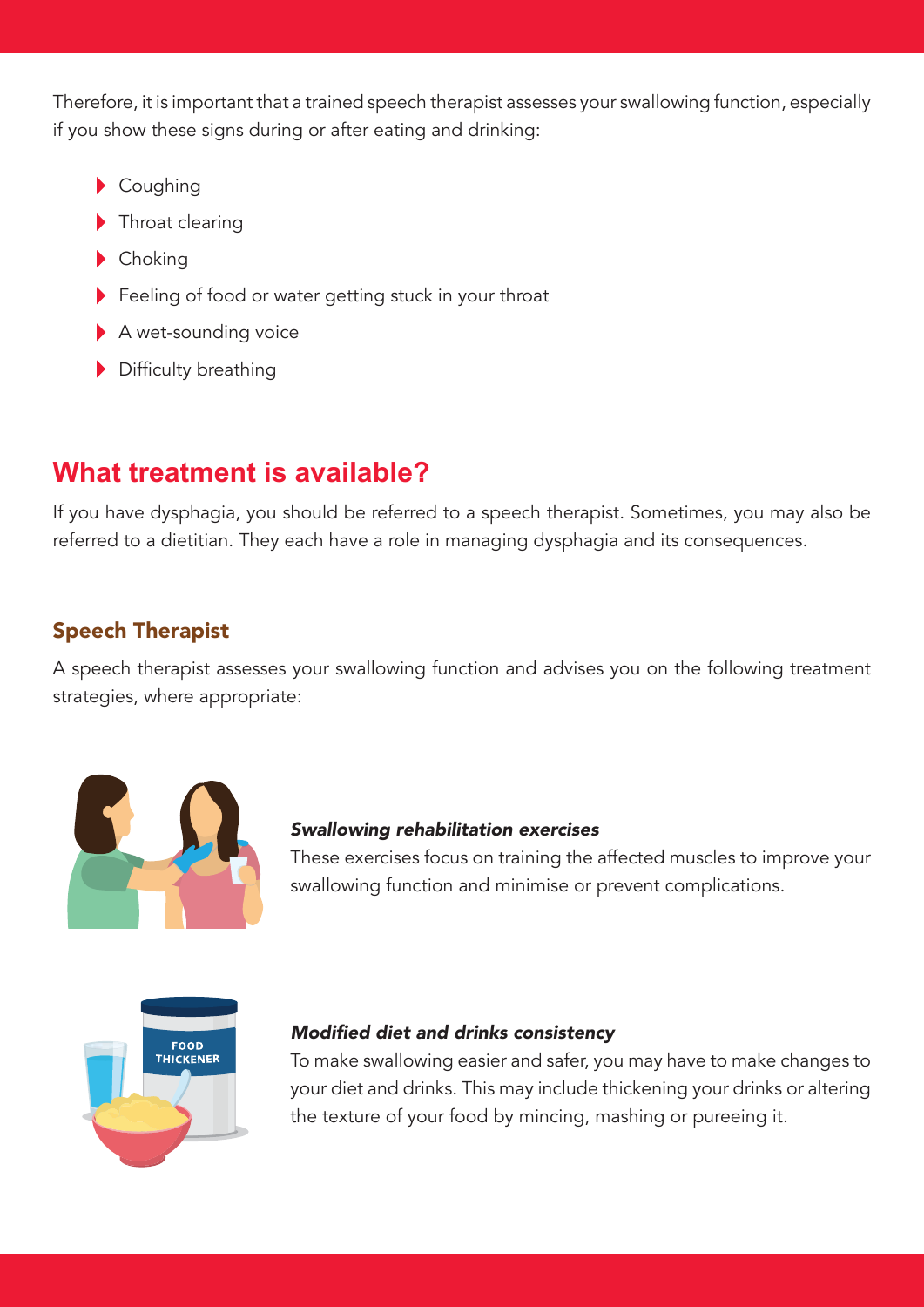Therefore, it is important that a trained speech therapist assesses your swallowing function, especially if you show these signs during or after eating and drinking:

- Coughing
- Throat clearing
- Choking
- Feeling of food or water getting stuck in your throat
- A wet-sounding voice
- Difficulty breathing

# **What treatment is available?**

If you have dysphagia, you should be referred to a speech therapist. Sometimes, you may also be referred to a dietitian. They each have a role in managing dysphagia and its consequences.

## Speech Therapist

A speech therapist assesses your swallowing function and advises you on the following treatment strategies, where appropriate:



## Swallowing rehabilitation exercises

These exercises focus on training the affected muscles to improve your swallowing function and minimise or prevent complications.



## Modified diet and drinks consistency

To make swallowing easier and safer, you may have to make changes to your diet and drinks. This may include thickening your drinks or altering the texture of your food by mincing, mashing or pureeing it.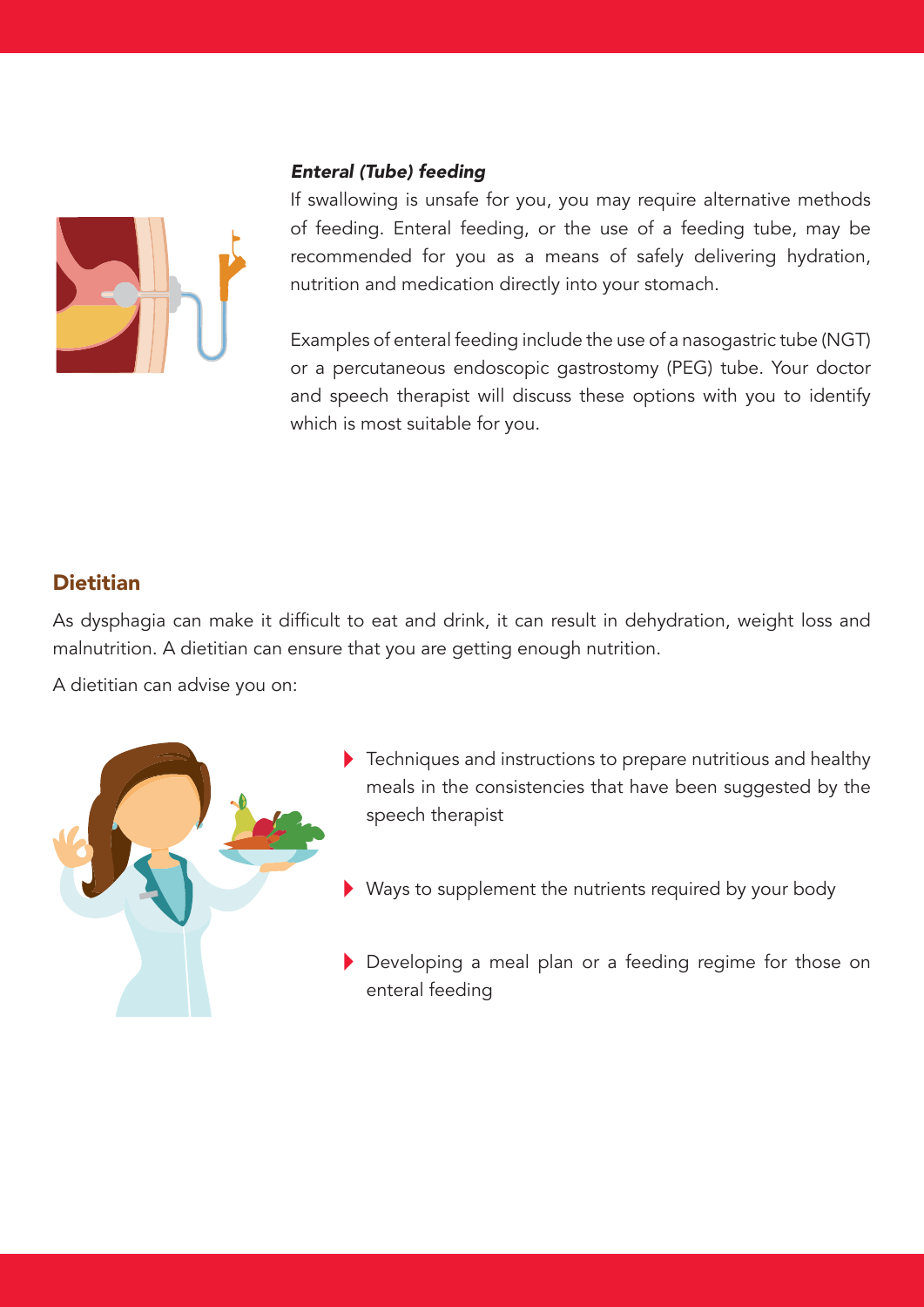#### Enteral (Tube) feeding



If swallowing is unsafe for you, you may require alternative methods of feeding. Enteral feeding, or the use of a feeding tube, may be recommended for you as a means of safely delivering hydration, nutrition and medication directly into your stomach.

Examples of enteral feeding include the use of a nasogastric tube (NGT) or a percutaneous endoscopic gastrostomy (PEG) tube. Your doctor and speech therapist will discuss these options with you to identify which is most suitable for you.

## **Dietitian**

As dysphagia can make it difficult to eat and drink, it can result in dehydration, weight loss and malnutrition. A dietitian can ensure that you are getting enough nutrition.

A dietitian can advise you on:



- Fechniques and instructions to prepare nutritious and healthy meals in the consistencies that have been suggested by the speech therapist
- Ways to supplement the nutrients required by your body
- Developing a meal plan or a feeding regime for those on enteral feeding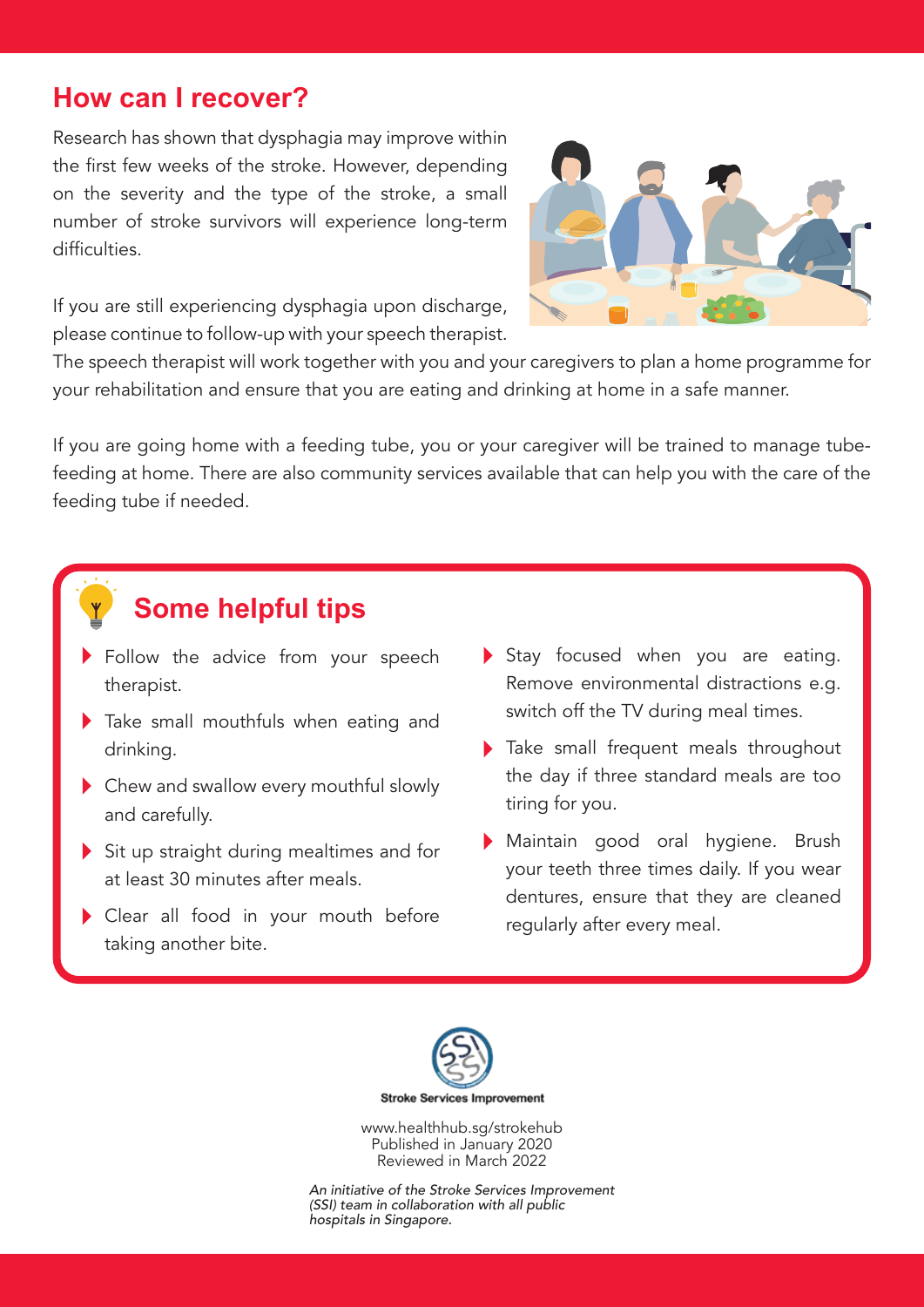## **How can I recover?**

Research has shown that dysphagia may improve within the first few weeks of the stroke. However, depending on the severity and the type of the stroke, a small number of stroke survivors will experience long-term difficulties.

If you are still experiencing dysphagia upon discharge, please continue to follow-up with your speech therapist.

The speech therapist will work together with you and your caregivers to plan a home programme for your rehabilitation and ensure that you are eating and drinking at home in a safe manner.

If you are going home with a feeding tube, you or your caregiver will be trained to manage tubefeeding at home. There are also community services available that can help you with the care of the feeding tube if needed.

# **Some helpful tips**

- Follow the advice from your speech therapist.
- Take small mouthfuls when eating and drinking.
- Chew and swallow every mouthful slowly and carefully.
- Sit up straight during mealtimes and for at least 30 minutes after meals.
- Clear all food in your mouth before taking another bite.
- Stay focused when you are eating. Remove environmental distractions e.g. switch off the TV during meal times.
- Take small frequent meals throughout the day if three standard meals are too tiring for you.
- Maintain good oral hygiene. Brush your teeth three times daily. If you wear dentures, ensure that they are cleaned regularly after every meal.



www.healthhub.sg/strokehub Published in January 2020 Reviewed in March 2022

An initiative of the Stroke Services Improvement (SSI) team in collaboration with all public hospitals in Singapore.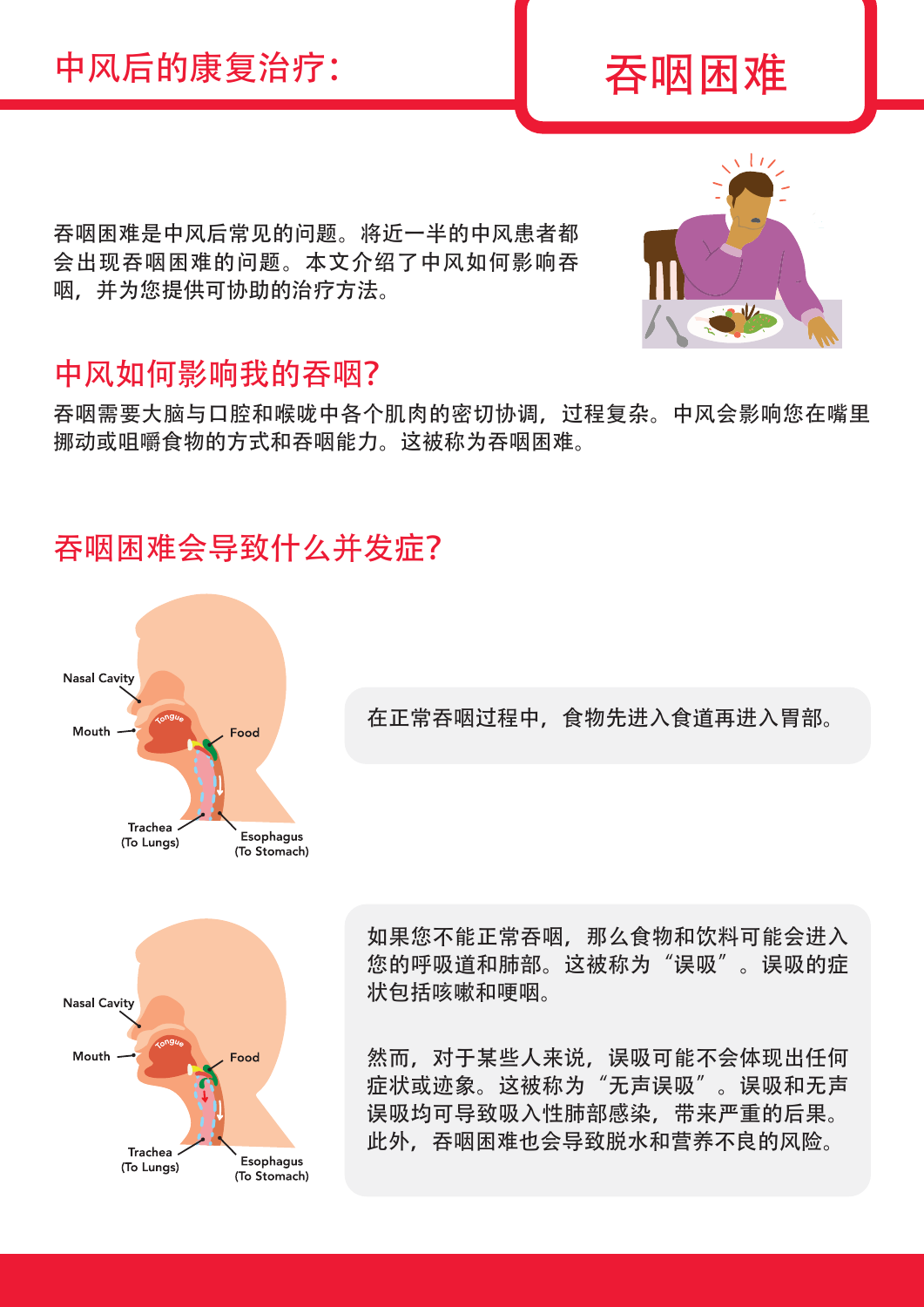# 中风后的康复治疗: | 吞M困困难

吞咽困难是中风后常见的问题。将近一半的中风患者都 会出现吞咽困难的问题。本文介绍了中风如何影响吞 咽,并为您提供可协助的治疗方法。

# 中风如何影响我的吞咽?

吞咽需要大脑与口腔和喉咙中各个肌肉的密切协调,过程复杂。中风会影响您在嘴里 挪动或咀嚼食物的方式和吞咽能力。这被称为吞咽困难。

# 吞咽困难会导致什么并发症?



在正常吞咽过程中,食物先进入食道再进入胃部。



如果您不能正常吞咽,那么食物和饮料可能会进入 您的呼吸道和肺部。这被称为"误吸"。误吸的症 状包括咳嗽和哽咽。

然而,对于某些人来说,误吸可能不会体现出任何 症状或迹象。这被称为"无声误吸"。误吸和无声 误吸均可导致吸入性肺部感染,带来严重的后果。 此外,吞咽困难也会导致脱水和营养不良的风险。

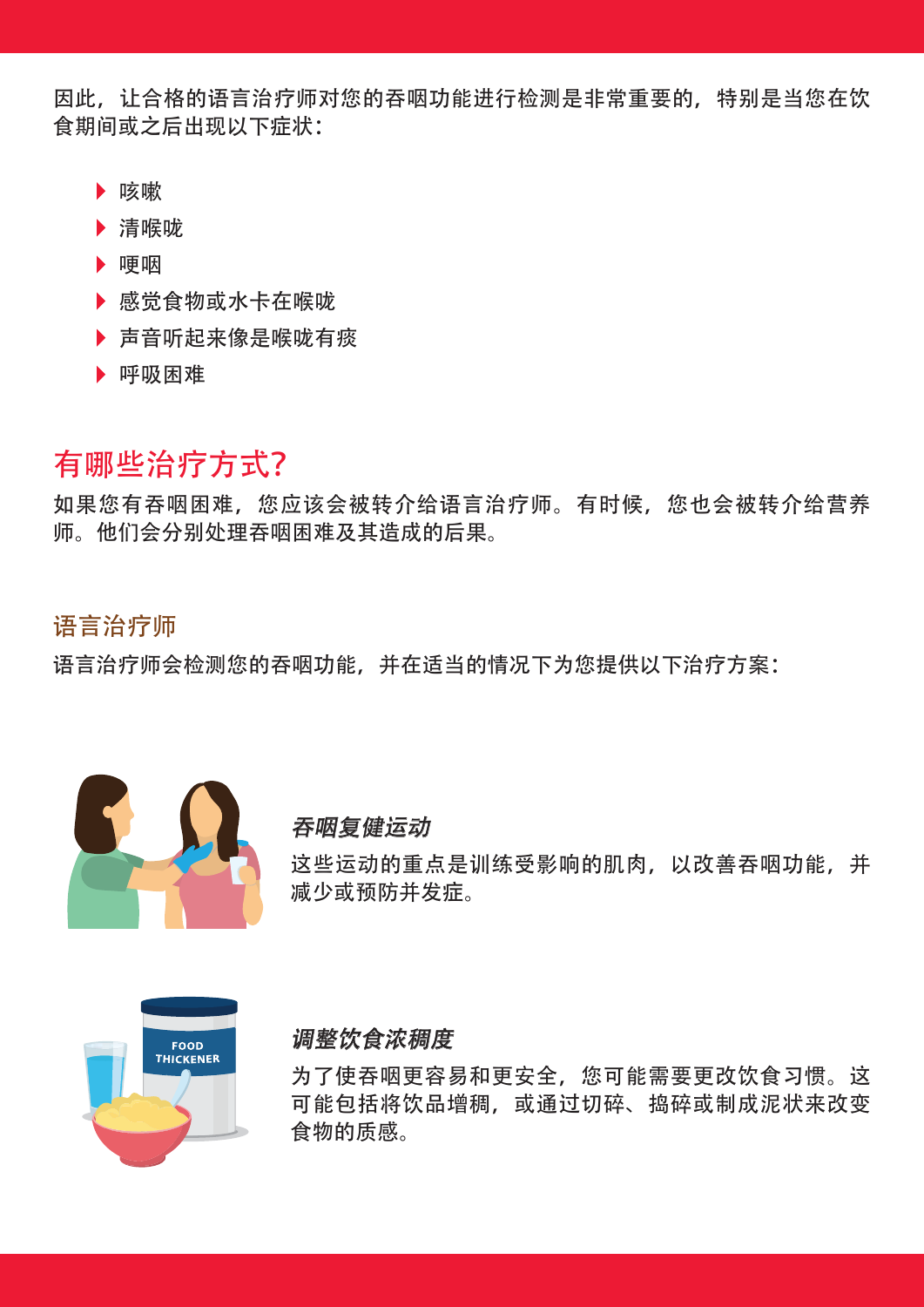因此,让合格的语言治疗师对您的吞咽功能进行检测是非常重要的,特别是当您在饮 食期间或之后出现以下症状:

- ▶ 咳嗽
- 清喉咙
- ▶ 哽咽
- 感觉食物或水卡在喉咙
- ▶ 声音听起来像是喉咙有痰
- 呼吸困难

# 有哪些治疗方式?

如果您有吞咽困难,您应该会被转介给语言治疗师。有时候,您也会被转介给营养 师。他们会分别处理吞咽困难及其造成的后果。

## 语言治疗师

语言治疗师会检测您的吞咽功能,并在适当的情况下为您提供以下治疗方案:



## 吞咽复健运动

这些运动的重点是训练受影响的肌肉,以改善吞咽功能,并 减少或预防并发症。



## 调整饮食浓稠度

为了使吞咽更容易和更安全,您可能需要更改饮食习惯。这 可能包括将饮品增稠,或通过切碎、捣碎或制成泥状来改变 食物的质感。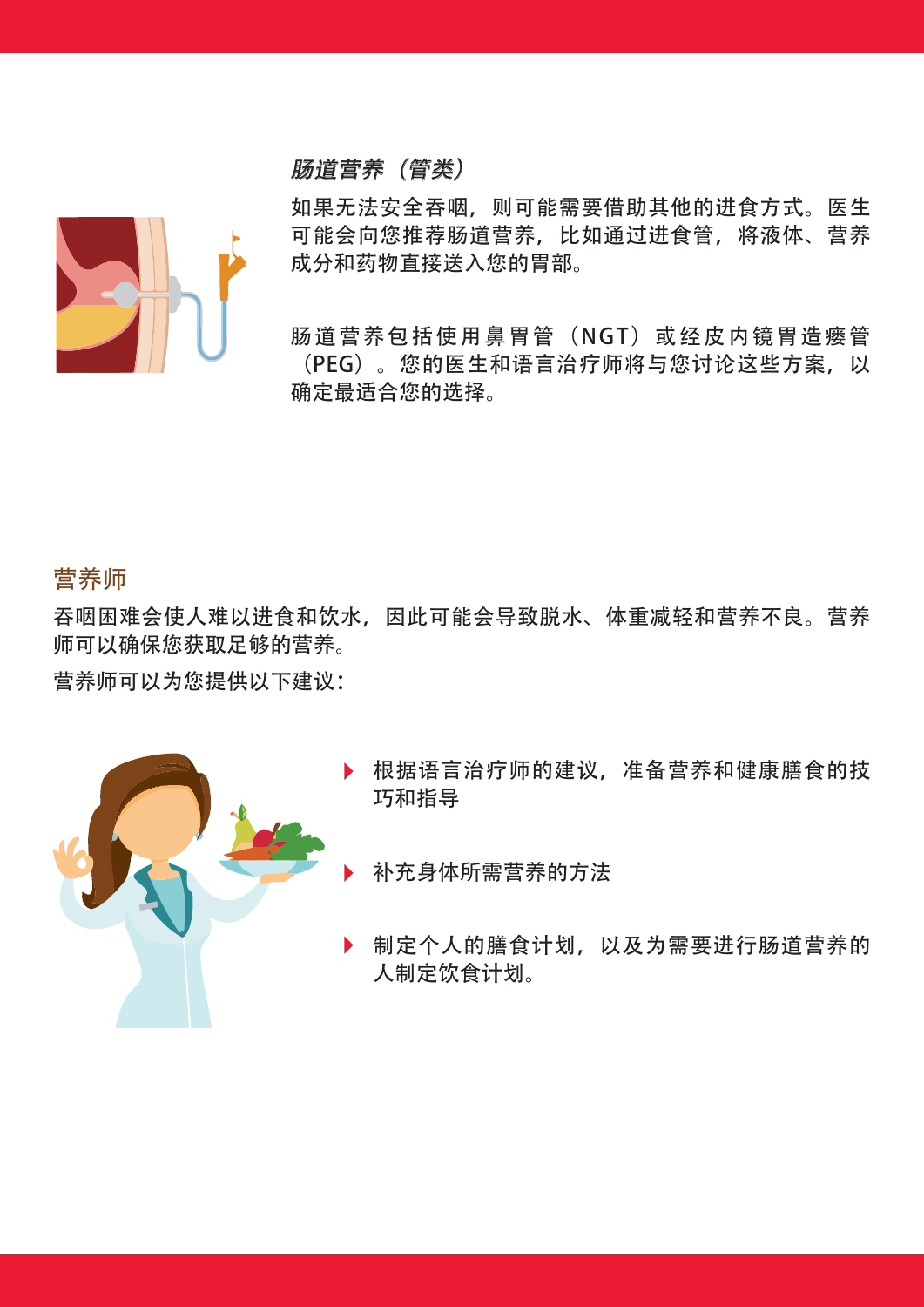## 肠道营养(管类)

如果无法安全吞咽,则可能需要借助其他的进食方式。医生 可能会向您推荐肠道营养,比如通过进食管,将液体、营养 成分和药物直接送入您的胃部。

肠道营养包括使用鼻胃管(NGT)或经皮内镜胃造瘘管 (PEG)。您的医生和语言治疗师将与您讨论这些方案,以 确定最适合您的选择。

## 营养师

吞咽困难会使人难以进食和饮水,因此可能会导致脱水、体重减轻和营养不良。营养 师可以确保您获取足够的营养。

营养师可以为您提供以下建议:



- 根据语言治疗师的建议,准备营养和健康膳食的技 巧和指导
- 补充身体所需营养的方法
- 制定个人的膳食计划,以及为需要进行肠道营养的 人制定饮食计划。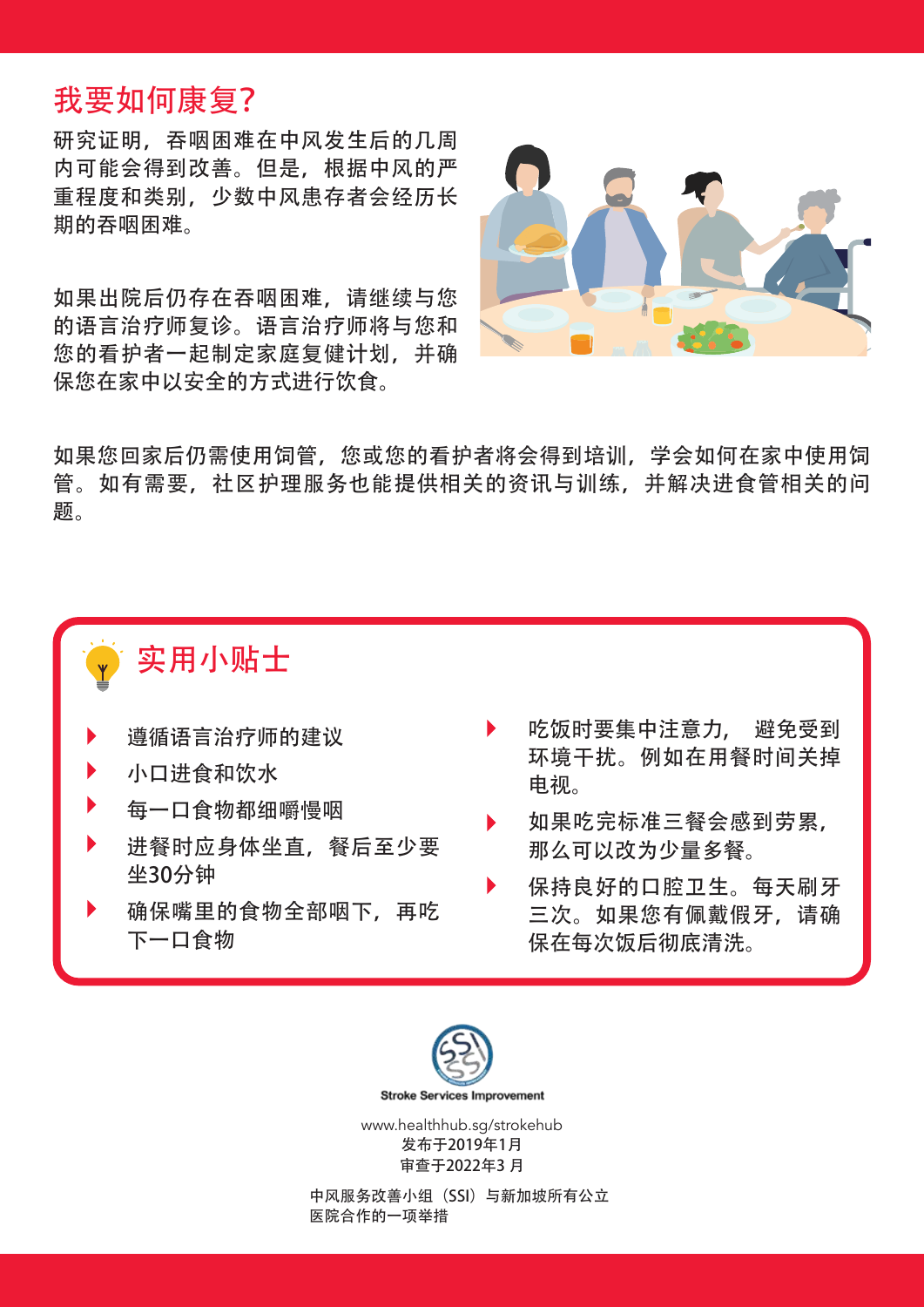# 我要如何康复?

研究证明,吞咽困难在中风发生后的几周 内可能会得到改善。但是,根据中风的严 重程度和类别,少数中风患存者会经历长 期的吞咽困难。

如果出院后仍存在吞咽困难,请继续与您 的语言治疗师复诊。语言治疗师将与您和 您的看护者一起制定家庭复健计划,并确 保您在家中以安全的方式进行饮食。



如果您回家后仍需使用饲管,您或您的看护者将会得到培训,学会如何在家中使用饲 管。如有需要,社区护理服务也能提供相关的资讯与训练,并解决进食管相关的问 题。

# 实用小贴士

- 遵循语言治疗师的建议
- 小口进食和饮水
- 每一口食物都细嚼慢咽
- 进餐时应身体坐直,餐后至少要 坐30分钟
- 确保嘴里的食物全部咽下,再吃 下一口食物
- 吃饭时要集中注意力, 避免受到 环境干扰。例如在用餐时间关掉 电视。
- 如果吃完标准三餐会感到劳累, 那么可以改为少量多餐。
- 保持良好的口腔卫生。每天刷牙 三次。如果您有佩戴假牙,请确 保在每次饭后彻底清洗。



发布于2019年1月 审查于2022年3 月

中风服务改善小组(SSI)与新加坡所有公立 医院合作的一项举措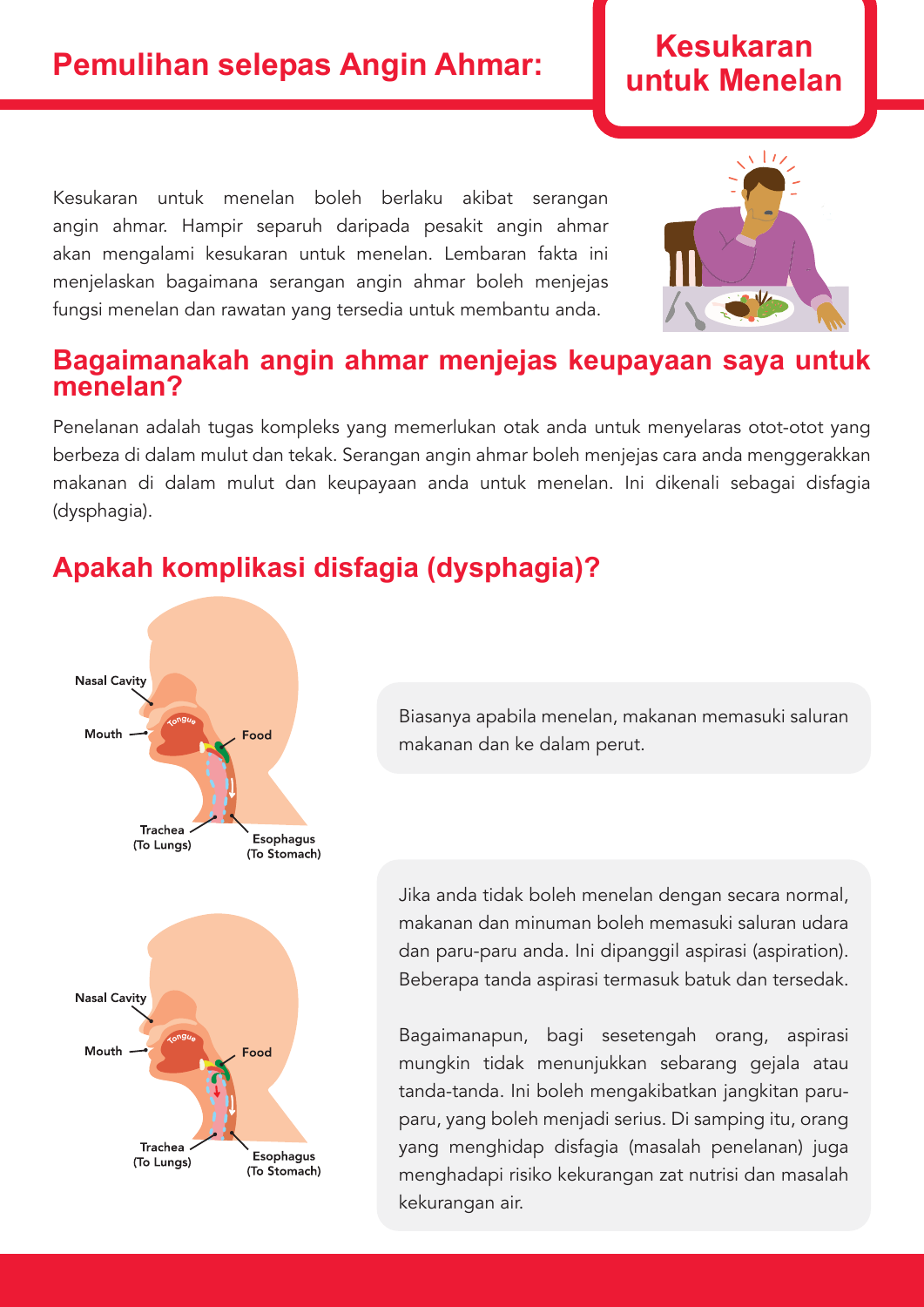# **Pemulihan selepas Angin Ahmar:** I untuk Menelan

Kesukaran untuk menelan boleh berlaku akibat serangan angin ahmar. Hampir separuh daripada pesakit angin ahmar akan mengalami kesukaran untuk menelan. Lembaran fakta ini menjelaskan bagaimana serangan angin ahmar boleh menjejas fungsi menelan dan rawatan yang tersedia untuk membantu anda.

## **Bagaimanakah angin ahmar menjejas keupayaan saya untuk menelan?**

Penelanan adalah tugas kompleks yang memerlukan otak anda untuk menyelaras otot-otot yang berbeza di dalam mulut dan tekak. Serangan angin ahmar boleh menjejas cara anda menggerakkan makanan di dalam mulut dan keupayaan anda untuk menelan. Ini dikenali sebagai disfagia (dysphagia).

# **Apakah komplikasi disfagia (dysphagia)?**



Biasanya apabila menelan, makanan memasuki saluran makanan dan ke dalam perut.

Jika anda tidak boleh menelan dengan secara normal, makanan dan minuman boleh memasuki saluran udara dan paru-paru anda. Ini dipanggil aspirasi (aspiration). Beberapa tanda aspirasi termasuk batuk dan tersedak.

Bagaimanapun, bagi sesetengah orang, aspirasi mungkin tidak menunjukkan sebarang gejala atau tanda-tanda. Ini boleh mengakibatkan jangkitan paruparu, yang boleh menjadi serius. Di samping itu, orang yang menghidap disfagia (masalah penelanan) juga menghadapi risiko kekurangan zat nutrisi dan masalah kekurangan air.



# **Kesukaran**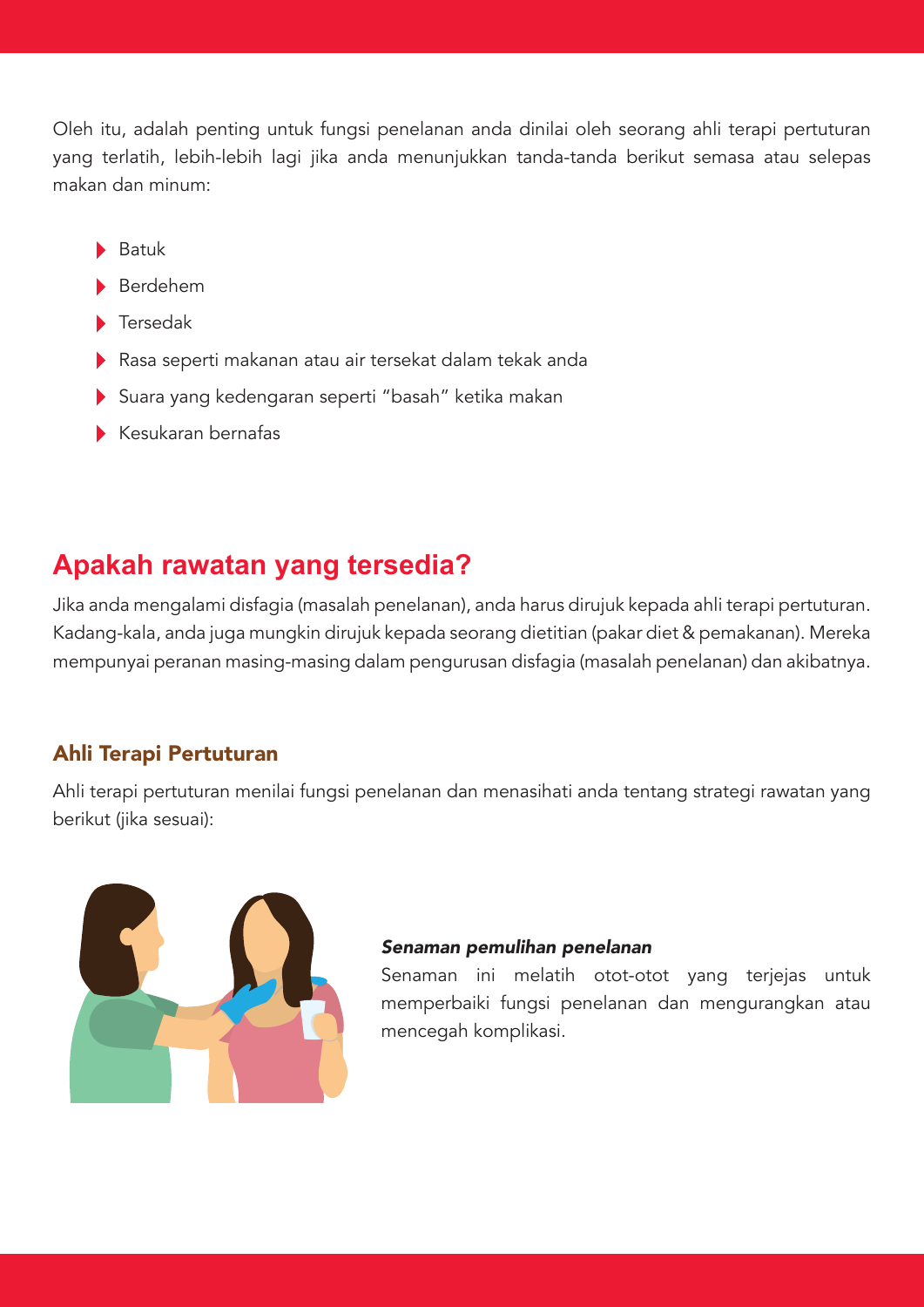Oleh itu, adalah penting untuk fungsi penelanan anda dinilai oleh seorang ahli terapi pertuturan yang terlatih, lebih-lebih lagi jika anda menunjukkan tanda-tanda berikut semasa atau selepas makan dan minum:

- Batuk
- Berdehem
- Tersedak
- Rasa seperti makanan atau air tersekat dalam tekak anda
- Suara yang kedengaran seperti "basah" ketika makan
- $\blacktriangleright$  Kesukaran bernafas

# **Apakah rawatan yang tersedia?**

Jika anda mengalami disfagia (masalah penelanan), anda harus dirujuk kepada ahli terapi pertuturan. Kadang-kala, anda juga mungkin dirujuk kepada seorang dietitian (pakar diet & pemakanan). Mereka mempunyai peranan masing-masing dalam pengurusan disfagia (masalah penelanan) dan akibatnya.

## Ahli Terapi Pertuturan

Ahli terapi pertuturan menilai fungsi penelanan dan menasihati anda tentang strategi rawatan yang berikut (jika sesuai):



#### Senaman pemulihan penelanan

Senaman ini melatih otot-otot yang terjejas untuk memperbaiki fungsi penelanan dan mengurangkan atau mencegah komplikasi.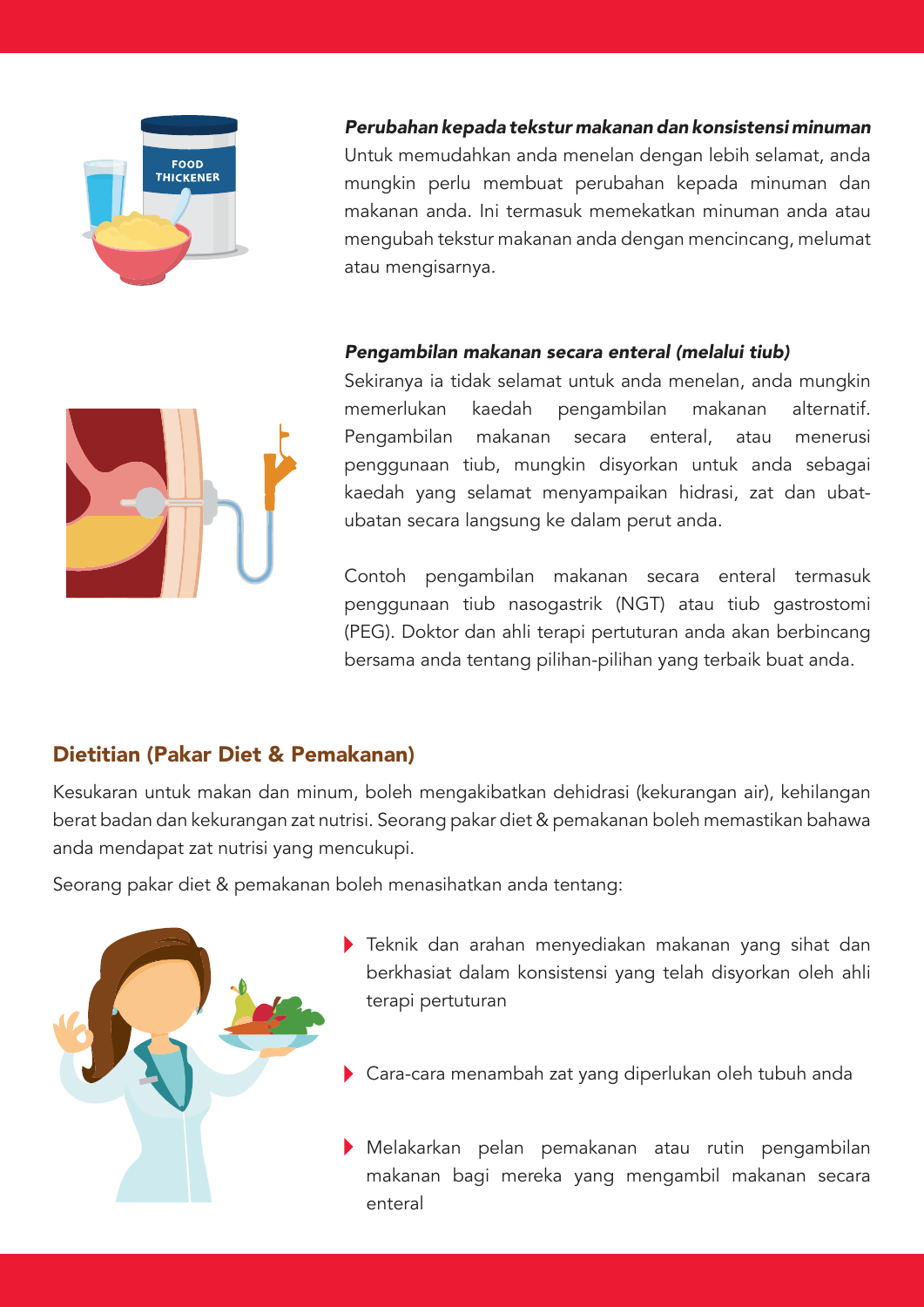

Perubahan kepada tekstur makanan dan konsistensi minuman Untuk memudahkan anda menelan dengan lebih selamat, anda mungkin perlu membuat perubahan kepada minuman dan makanan anda. Ini termasuk memekatkan minuman anda atau mengubah tekstur makanan anda dengan mencincang, melumat atau mengisarnya.

## Pengambilan makanan secara enteral (melalui tiub)



Sekiranya ia tidak selamat untuk anda menelan, anda mungkin memerlukan kaedah pengambilan makanan alternatif. Pengambilan makanan secara enteral, atau menerusi penggunaan tiub, mungkin disyorkan untuk anda sebagai kaedah yang selamat menyampaikan hidrasi, zat dan ubatubatan secara langsung ke dalam perut anda.

Contoh pengambilan makanan secara enteral termasuk penggunaan tiub nasogastrik (NGT) atau tiub gastrostomi (PEG). Doktor dan ahli terapi pertuturan anda akan berbincang bersama anda tentang pilihan-pilihan yang terbaik buat anda.

## Dietitian (Pakar Diet & Pemakanan)

Kesukaran untuk makan dan minum, boleh mengakibatkan dehidrasi (kekurangan air), kehilangan berat badan dan kekurangan zat nutrisi. Seorang pakar diet & pemakanan boleh memastikan bahawa anda mendapat zat nutrisi yang mencukupi.

Seorang pakar diet & pemakanan boleh menasihatkan anda tentang:



- Teknik dan arahan menyediakan makanan yang sihat dan berkhasiat dalam konsistensi yang telah disyorkan oleh ahli terapi pertuturan
- Cara-cara menambah zat yang diperlukan oleh tubuh anda
- Melakarkan pelan pemakanan atau rutin pengambilan makanan bagi mereka yang mengambil makanan secara enteral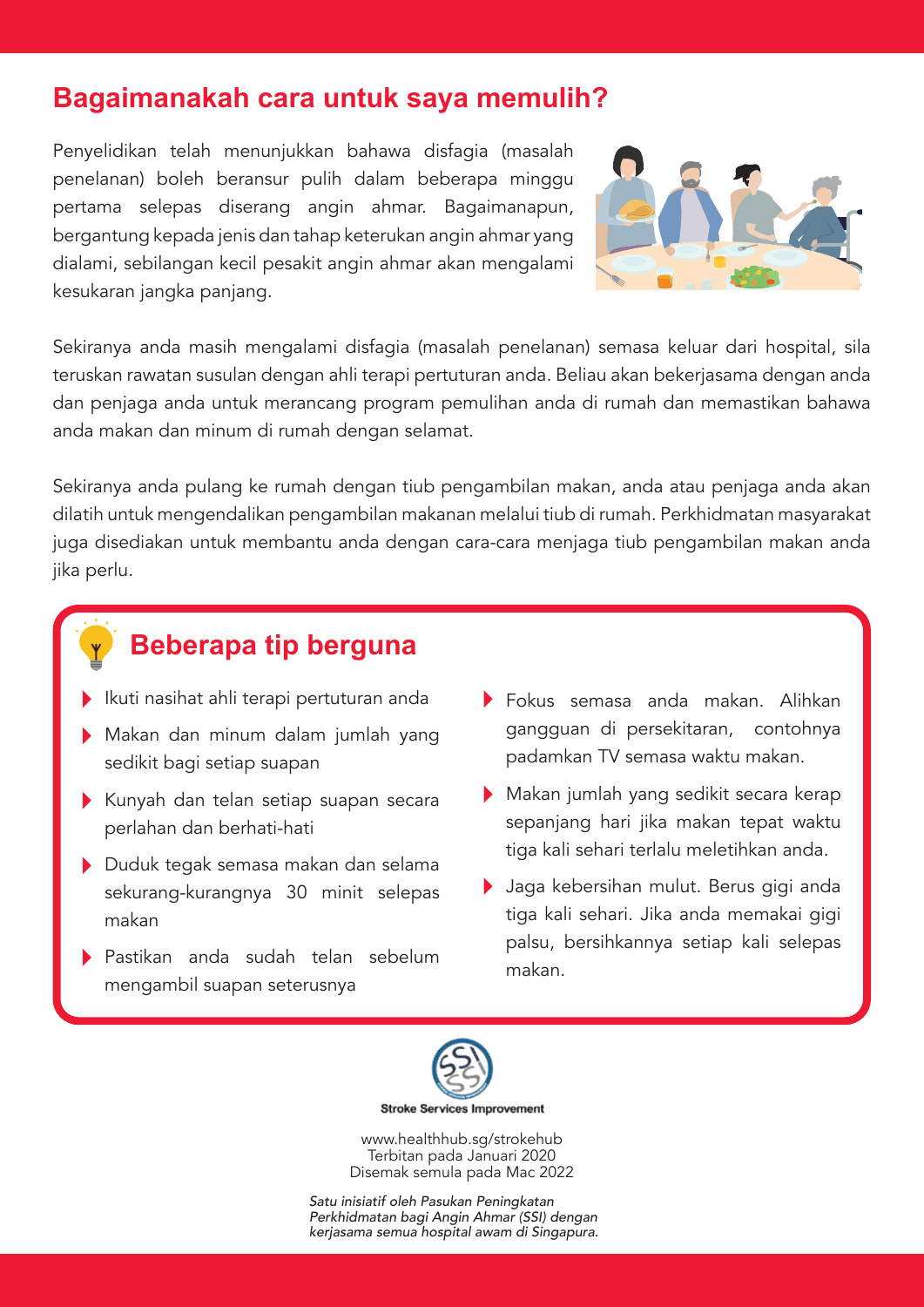# **Bagaimanakah cara untuk saya memulih?**

Penyelidikan telah menunjukkan bahawa disfagia (masalah penelanan) boleh beransur pulih dalam beberapa minggu pertama selepas diserang angin ahmar. Bagaimanapun, bergantung kepada jenis dan tahap keterukan angin ahmar yang dialami, sebilangan kecil pesakit angin ahmar akan mengalami kesukaran jangka panjang.



Sekiranya anda masih mengalami disfagia (masalah penelanan) semasa keluar dari hospital, sila teruskan rawatan susulan dengan ahli terapi pertuturan anda. Beliau akan bekerjasama dengan anda dan penjaga anda untuk merancang program pemulihan anda di rumah dan memastikan bahawa anda makan dan minum di rumah dengan selamat.

Sekiranya anda pulang ke rumah dengan tiub pengambilan makan, anda atau penjaga anda akan dilatih untuk mengendalikan pengambilan makanan melalui tiub di rumah. Perkhidmatan masyarakat juga disediakan untuk membantu anda dengan cara-cara menjaga tiub pengambilan makan anda jika perlu.



- Ikuti nasihat ahli terapi pertuturan anda
- Makan dan minum dalam jumlah yang sedikit bagi setiap suapan
- Kunyah dan telan setiap suapan secara perlahan dan berhati-hati
- Duduk tegak semasa makan dan selama sekurang-kurangnya 30 minit selepas makan
- Pastikan anda sudah telan sebelum mengambil suapan seterusnya
- Fokus semasa anda makan. Alihkan gangguan di persekitaran, contohnya padamkan TV semasa waktu makan.
- Makan jumlah yang sedikit secara kerap sepanjang hari jika makan tepat waktu tiga kali sehari terlalu meletihkan anda.
- Jaga kebersihan mulut. Berus gigi anda tiga kali sehari. Jika anda memakai gigi palsu, bersihkannya setiap kali selepas makan.



**Stroke Services Improvement** 

www.healthhub.sg/strokehub Terbitan pada Januari 2020 Disemak semula pada Mac 2022

Satu inisiatif oleh Pasukan Peningkatan Perkhidmatan bagi Angin Ahmar (SSI) dengan kerjasama semua hospital awam di Singapura.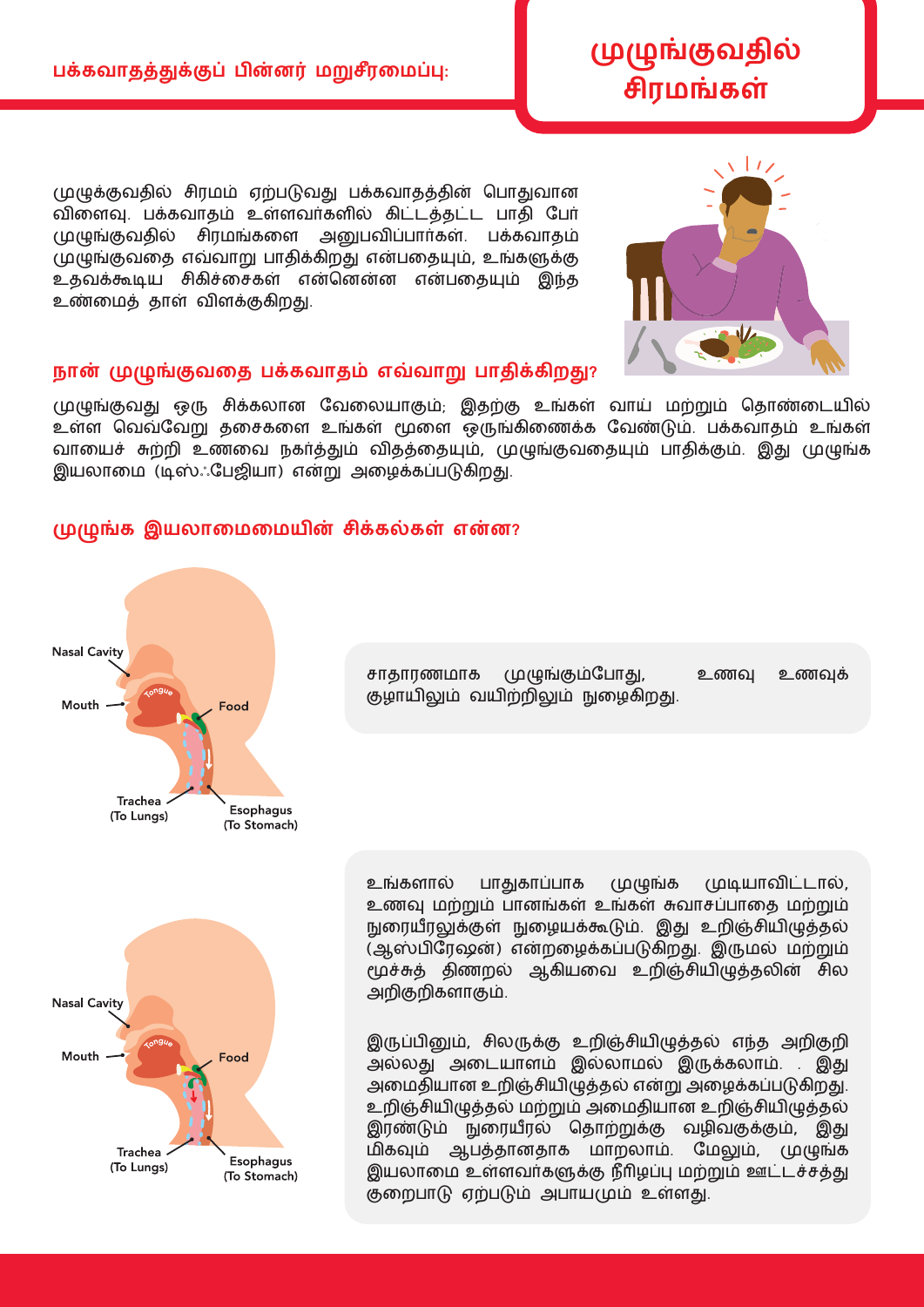முழுக்குவதில் சிரமம் ஏற்படுவது பக்கவாதத்தின் பொதுவான விளைவு. பக்கவாதம் உள்ளவர்களில் கிட்டத்தட்ட பாதி போ முழுங்குவதில் சிரமங்களை அனுபவிப்பார்கள். பக்கவாதம் முழுங்குவதை எவ்வாறு பாதிக்கிறது என்பதையும், உங்களுக்கு உதவக்கூடிய சிகிச்சைகள் என்னென்ன என்பதையும் இந்த உண்மைத் தாள் விளக்குகிறது.

### **நான் முழுங்குவதத பக்கவாதம் எவவாறு பாதிக்கிறது?**

முழுங்குவது ஒரு சிக்கலான வேலையாகும்; இதற்கு உங்கள் வாய் மற்றும் தொண்டையில் உள்ள வெவ்வேறு தசைகளை உங்கள் மூளை ஒருங்கிணைக்க வேண்டும். பக்கவாதம் உங்கள் வாயைச் சுற்றி உணவை நகர்த்தும் விதத்தையும், முழுங்குவதையும் பாதிக்கும். இது முழுங்க இயலாமை (டிஸ்ஃபேஜியா) என்று அழைக்கப்படுகிறது.

#### <u>முழுங்க இயலாமைமையின் சிக்கல்கள் என்ன?</u>

**Nasal Cavity** Mouth. Food Trachea Esophagus (To Lungs) (To Stomach) உங்களால் பாதுகாப்பாக முழுங்க முடியாவிட்டால், உணவு மற்றும் பானங்கள் உங்கள் சுவாசப்பாதை மற்றும் நுரையீரலுக்குள் நுழையக்கூடும். இது உறிஞ்சியிழுத்தல் (ஆஸ்பிரேஷன்) என்றழைக்கப்படுகிறது. இருமல் மற்றும் மூச்சுத் திணறல் ஆகியவை உறிஞ்சியிழுத்தலின் சில அறிகுறிகளாகும்.

சாதாரணமாக முழுங்கும்போது, உணவு உணவுக்

குழாயிலும் வயிற்றிலும் நுழைகிறது.

இருப்பினும், சிலருக்கு உறிஞசியிழுததல் எநத அறிகுறி அல்லது அடையாளம் இல்லாமல் இருக்கலாம். . இது அமைதியான உறிஞ்சியிழுத்தல் என்று அழைக்கப்படுகிறது. உறிஞசியிழுததல் மறறும் அளமதியான உறிஞசியிழுததல் இரணடும் நுளரயீரல் பதாறறுக்கு வைிவகுக்கும், இது ம்<br>மிகவும் ஆபத்தானதாக மாறலாம். மேலும், முழுங்க இயலாளம உளைவர்களுக்கு நீரிைபபு மறறும் ஊட்டசசதது குறைபாடு ஏற்படும் அபாயமும் உள்ளது.





# **முழுங்குவதில் சிரமங்்கள்**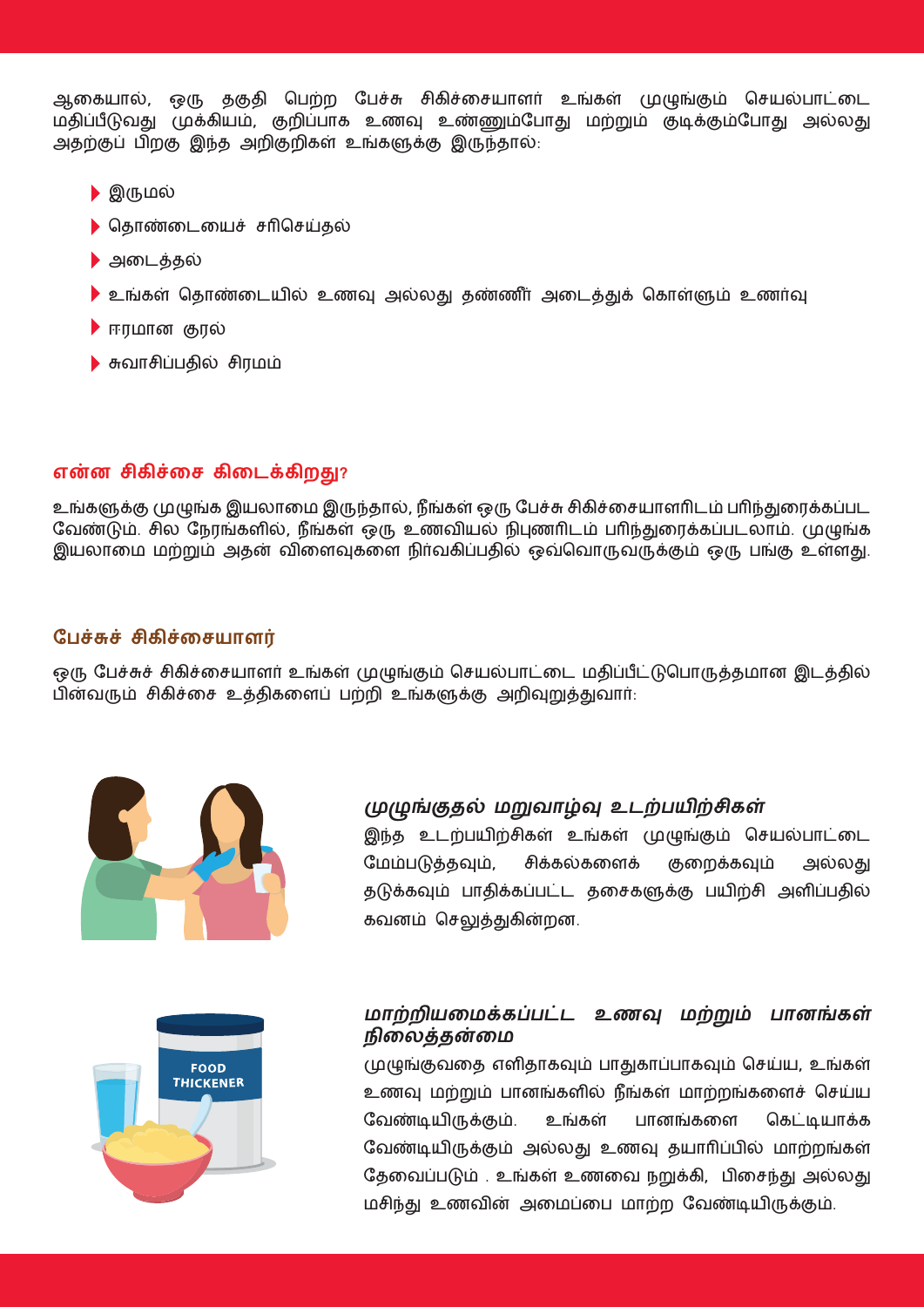ஆகையால், ஒரு தகுதி பெற்ற பேச்சு சிகிச்சையாளர் உங்கள் முழுங்கும் செயல்பாட்டை மதிப்பீடுவது முக்கியம், குறிப்பாக உணவு உண்ணும்போது மற்றும் குடிக்கும்போது அல்லது அதற்குப் பிறகு இந்த அறிகுறிகள் உங்களுக்கு இருந்தால்:

- இருமல்
- பதாணள்டளயச சரிபசய்தல்
- அள்டததல்
- $\blacktriangleright$  உங்கள் தொண்டையில் உணவு அல்லது தண்ணீர் அடைத்துக் கொள்ளும் உணர்வு
- ஈரமான குரல்
- சுவாசிப்பதில் சிரமம்

#### **என்்ன சி்கிசதச ்கிதைக்கிறது?**

உங்களுக்கு முழுங்க இயலாமை இருந்தால், நீங்கள் ஒரு பேச்சு சிகிச்சையாளரிடம் பரிந்துரைக்கப்பட வேண்டும். சில நேரங்களில், நீங்கள் ஒரு உணவியல் நிபுணரிடம் பரிந்துரைக்கப்படலாம். முழுங்க இயலாமை மற்றும் அதன் விளைவுகளை நிர்வகிப்பதில் ஒவ்வொருவருக்கும் ஒரு பங்கு உள்ளது.

#### **பபசசுச சி்கிசதசயாளர்**

ஒரு பேச்சுச் சிகிச்சையாளர் உங்கள் முழுங்கும் செயல்பாட்டை மதிப்பீட்டுபொருத்தமான இடத்தில் பின்வரும் சிகிச்சை உத்திகளைப் பற்றி உங்களுக்கு அறிவுறுத்துவார்:



#### **முழுங்குதல் மறுவாழ்வு உைறபயிறசி்கள்**

இந்த உடற்பயிற்சிகள் உங்கள் முழுங்கும் செயல்பாட்டை மேம்படுத்தவும், சிக்கல்களைக் குறைக்கவும் அல்லது தடுக்கவும் பாதிக்கப்பட்ட தசைகளுக்கு பயிற்சி அளிப்பதில் ்கவனம் பசலுதது்கின்றன.



## மாற்றியமைக்கப்பட்ட உணவு மற்றும் பானங்கள் **நிதலத்தன்தம**

முழுங்குவதை எளிதாகவும் பாதுகாப்பாகவும் செய்ய, உங்கள் உணவு மற்றும் பானங்களில் நீங்கள் மாற்றங்களைச் செய்ய வேண்டியிருக்கும். உங்கள் பானங்களை கெட்டியாக்க வேண்டியிருக்கும் அல்லது உணவு தயாரிப்பில் மாற்றங்கள் தேவைப்படும் . உங்கள் உணவை நறுக்கி, பிசைந்து அல்லது மசிநது உைவின் அளமபள்ப மாறற பவணடியிருக்கும்.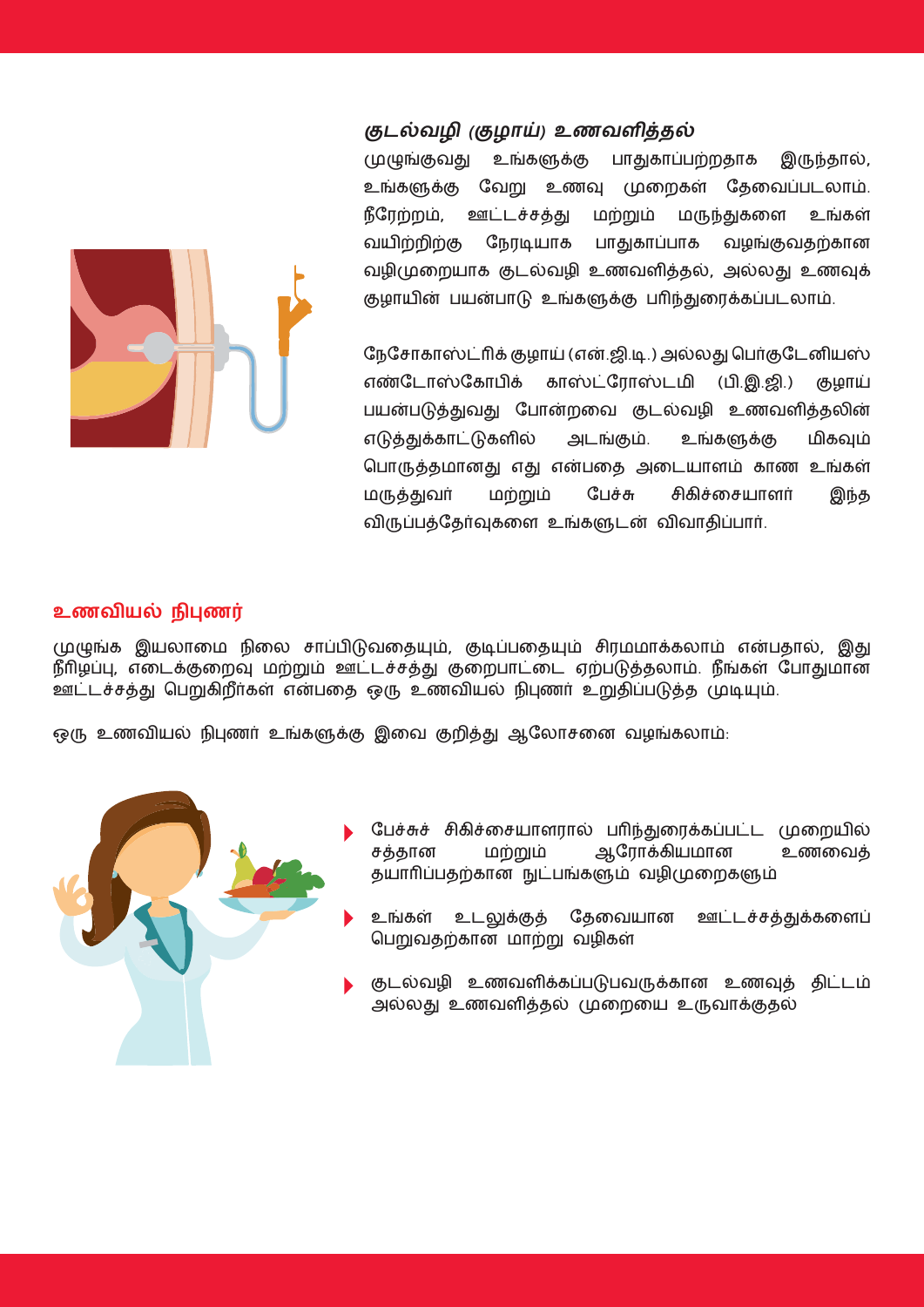

#### **குைல்வழி (குழாய்) உணவளித்தல்**

முழுங்குவது உங்களுக்கு பாதுகாப்பற்றதாக இருந்தால், உங்களுக்கு வேறு உணவு முறைகள் தேவைப்படலாம். நீரேற்றம், ஊட்டச்சத்து மற்றும் மருந்துகளை உங்கள் வயிற்றிற்கு நேரடியாக பாதுகாப்பாக வழங்குவதற்கான வழிமுறையாக குடல்வழி உணவளித்தல், அல்லது உணவுக் குழாயின் பயன்பாடு உங்களுக்கு பரிந்துரைக்கப்படலாம்.

நேசோகாஸ்ட்ரிக் குழாய் (என்.ஜி.டி.) அல்லது பெர்குடேனியஸ் எண்டோஸ்கோபிக் காஸ்ட்ரோஸ்டமி (பி.இ.ஜி.) குழாய் பயன்படுத்துவது போன்றவை குடல்வழி உணவளித்தலின் எடுத்துக்காட்டுகளில் அடங்கும். உங்களுக்கு மிகவும் பொருத்தமானது எது என்பதை அடையாளம் காண உங்கள் மருததுவர மறறும் ப்பசசு சி்கிசளசயாைர இநத விருப்பத்தேர்வுகளை உங்களுடன் விவாதிப்பார்.

#### **உணவியல் நிபுணர்**

முழுங்க இயலாமை நிலை சாப்பிடுவதையும், குடிப்பதையும் சிரமமாக்கலாம் என்பதால், இது நீரிழப்பு, எடைக்குறைவு மற்றும் ஊட்டச்சத்து குறைபாட்டை ஏற்படுத்தலாம். நீங்கள் போதுமான ஊட்டச்சத்து பெறுகிறீர்கள் என்பதை ஒரு உணவியல் நிபுணர் உறுதிப்படுத்த முடியும்.

ஒரு உணவியல் நிபுணர் உங்களுக்கு இவை குறித்து ஆலோசனை வழங்கலாம்:



- பேச்சுச் சிகிச்சையாளரால் பரிந்துரைக்கப்பட்ட முறையில் சத்தான மற்றும் ஆரோக்கியமான உணவைத் தயாரிப்பதற்கான நுட்பங்களும் வழிமுறைகளும்
- உங்கள் உடலுக்குத் தேவையான ஊட்டச்சத்துக்களைப் பெறுவதற்கான மாற்று வழிகள்
- குடல்வழி உணவளிக்கப்படுபவருக்கான உணவுத் திட்டம் அல்லது உைவைிததல் முளறளய உருவாக்குதல்